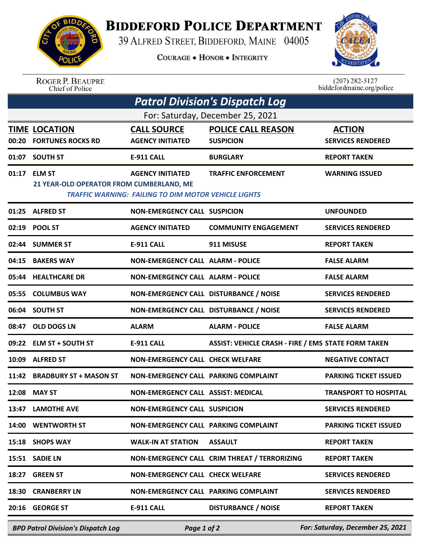

## **BIDDEFORD POLICE DEPARTMENT**

39 ALFRED STREET, BIDDEFORD, MAINE 04005

**COURAGE . HONOR . INTEGRITY** 



ROGER P. BEAUPRE<br>Chief of Police

 $(207)$  282-5127<br>biddefordmaine.org/police

| <b>Patrol Division's Dispatch Log</b> |                                                          |                                                                                        |                                                            |                                           |  |  |  |  |
|---------------------------------------|----------------------------------------------------------|----------------------------------------------------------------------------------------|------------------------------------------------------------|-------------------------------------------|--|--|--|--|
| For: Saturday, December 25, 2021      |                                                          |                                                                                        |                                                            |                                           |  |  |  |  |
|                                       | <b>TIME LOCATION</b><br>00:20 FORTUNES ROCKS RD          | <b>CALL SOURCE</b><br><b>AGENCY INITIATED</b>                                          | <b>POLICE CALL REASON</b><br><b>SUSPICION</b>              | <b>ACTION</b><br><b>SERVICES RENDERED</b> |  |  |  |  |
|                                       | 01:07 SOUTH ST                                           | <b>E-911 CALL</b>                                                                      | <b>BURGLARY</b>                                            | <b>REPORT TAKEN</b>                       |  |  |  |  |
|                                       | 01:17 ELM ST<br>21 YEAR-OLD OPERATOR FROM CUMBERLAND, ME | <b>AGENCY INITIATED</b><br><b>TRAFFIC WARNING: FAILING TO DIM MOTOR VEHICLE LIGHTS</b> | <b>TRAFFIC ENFORCEMENT</b>                                 | <b>WARNING ISSUED</b>                     |  |  |  |  |
|                                       | 01:25 ALFRED ST                                          | <b>NON-EMERGENCY CALL SUSPICION</b>                                                    |                                                            | <b>UNFOUNDED</b>                          |  |  |  |  |
|                                       | 02:19 POOL ST                                            | <b>AGENCY INITIATED</b>                                                                | <b>COMMUNITY ENGAGEMENT</b>                                | <b>SERVICES RENDERED</b>                  |  |  |  |  |
|                                       | 02:44 SUMMER ST                                          | E-911 CALL                                                                             | 911 MISUSE                                                 | <b>REPORT TAKEN</b>                       |  |  |  |  |
|                                       | 04:15 BAKERS WAY                                         | <b>NON-EMERGENCY CALL ALARM - POLICE</b>                                               |                                                            | <b>FALSE ALARM</b>                        |  |  |  |  |
|                                       | 05:44 HEALTHCARE DR                                      | <b>NON-EMERGENCY CALL ALARM - POLICE</b>                                               |                                                            | <b>FALSE ALARM</b>                        |  |  |  |  |
|                                       | 05:55 COLUMBUS WAY                                       | NON-EMERGENCY CALL DISTURBANCE / NOISE                                                 |                                                            | <b>SERVICES RENDERED</b>                  |  |  |  |  |
|                                       | 06:04 SOUTH ST                                           | NON-EMERGENCY CALL DISTURBANCE / NOISE                                                 |                                                            | <b>SERVICES RENDERED</b>                  |  |  |  |  |
| 08:47                                 | <b>OLD DOGS LN</b>                                       | <b>ALARM</b>                                                                           | <b>ALARM - POLICE</b>                                      | <b>FALSE ALARM</b>                        |  |  |  |  |
|                                       | 09:22 ELM ST + SOUTH ST                                  | <b>E-911 CALL</b>                                                                      | <b>ASSIST: VEHICLE CRASH - FIRE / EMS STATE FORM TAKEN</b> |                                           |  |  |  |  |
|                                       | 10:09 ALFRED ST                                          | <b>NON-EMERGENCY CALL CHECK WELFARE</b>                                                |                                                            | <b>NEGATIVE CONTACT</b>                   |  |  |  |  |
|                                       | 11:42 BRADBURY ST + MASON ST                             | NON-EMERGENCY CALL PARKING COMPLAINT                                                   |                                                            | <b>PARKING TICKET ISSUED</b>              |  |  |  |  |
|                                       | 12:08 MAY ST                                             | NON-EMERGENCY CALL ASSIST: MEDICAL                                                     |                                                            | <b>TRANSPORT TO HOSPITAL</b>              |  |  |  |  |
|                                       | 13:47 LAMOTHE AVE                                        | <b>NON-EMERGENCY CALL SUSPICION</b>                                                    |                                                            | <b>SERVICES RENDERED</b>                  |  |  |  |  |
|                                       | 14:00 WENTWORTH ST                                       | NON-EMERGENCY CALL PARKING COMPLAINT                                                   |                                                            | <b>PARKING TICKET ISSUED</b>              |  |  |  |  |
|                                       | 15:18 SHOPS WAY                                          | <b>WALK-IN AT STATION</b>                                                              | <b>ASSAULT</b>                                             | <b>REPORT TAKEN</b>                       |  |  |  |  |
|                                       | 15:51 SADIE LN                                           |                                                                                        | NON-EMERGENCY CALL CRIM THREAT / TERRORIZING               | <b>REPORT TAKEN</b>                       |  |  |  |  |
| 18:27                                 | <b>GREEN ST</b>                                          | NON-EMERGENCY CALL CHECK WELFARE                                                       |                                                            | <b>SERVICES RENDERED</b>                  |  |  |  |  |
| 18:30                                 | <b>CRANBERRY LN</b>                                      | NON-EMERGENCY CALL PARKING COMPLAINT                                                   |                                                            | <b>SERVICES RENDERED</b>                  |  |  |  |  |
|                                       | 20:16 GEORGE ST                                          | <b>E-911 CALL</b>                                                                      | <b>DISTURBANCE / NOISE</b>                                 | <b>REPORT TAKEN</b>                       |  |  |  |  |
|                                       | <b>BPD Patrol Division's Dispatch Log</b>                | Page 1 of 2                                                                            |                                                            | For: Saturday, December 25, 2021          |  |  |  |  |